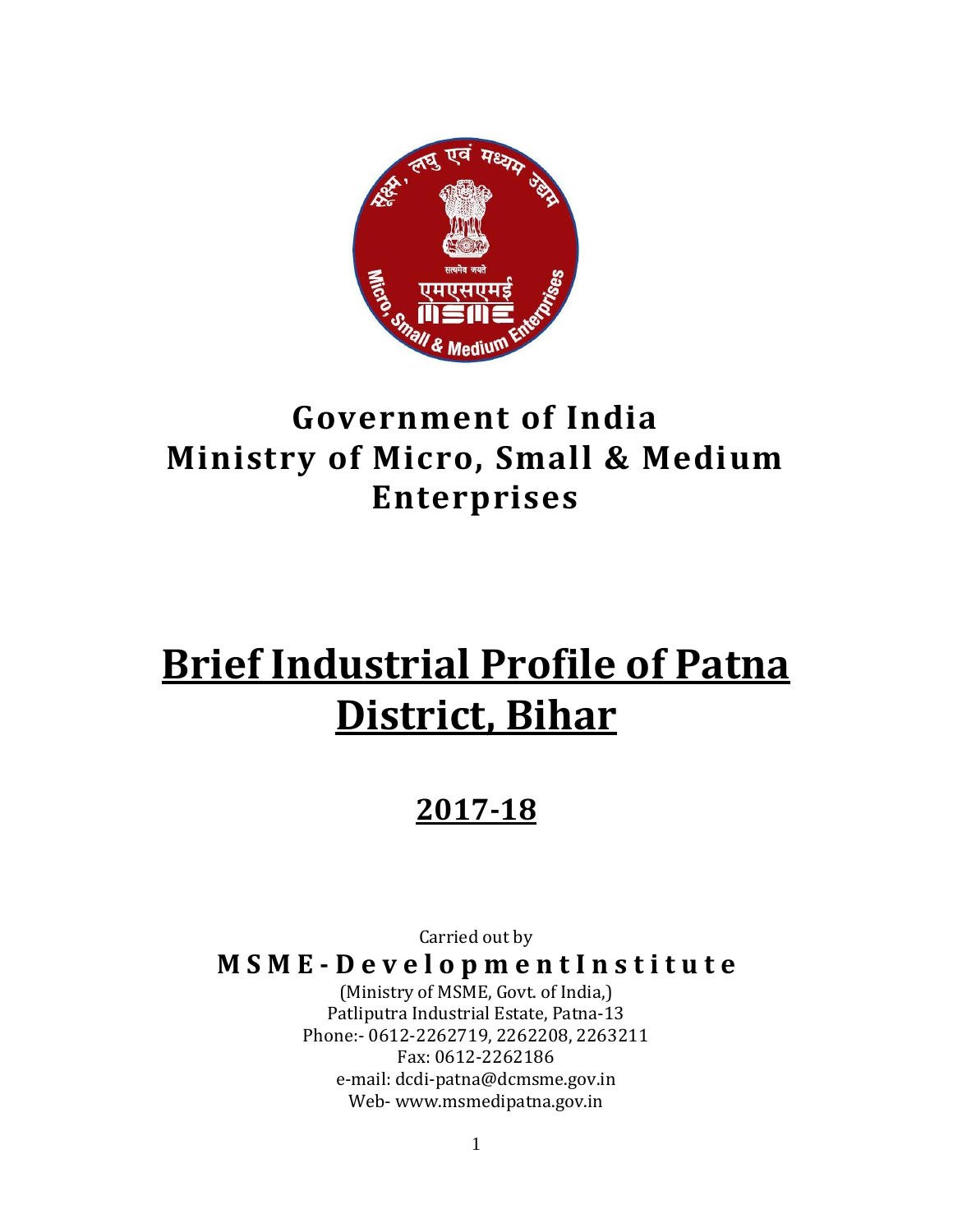

# **Government of India Ministry of Micro, Small & Medium Enterprises**

# **Brief Industrial Profile of Patna District, Bihar**

### **2017-18**

Carried out by

**M S M E - D e v e l o p m e n t I n s t i t u t e**

(Ministry of MSME, Govt. of India,) Patliputra Industrial Estate, Patna-13 Phone:- 0612-2262719, 2262208, 2263211 Fax: 0612-2262186 e-mail: dcdi-patna@dcmsme.gov.in Web- www.msmedipatna.gov.in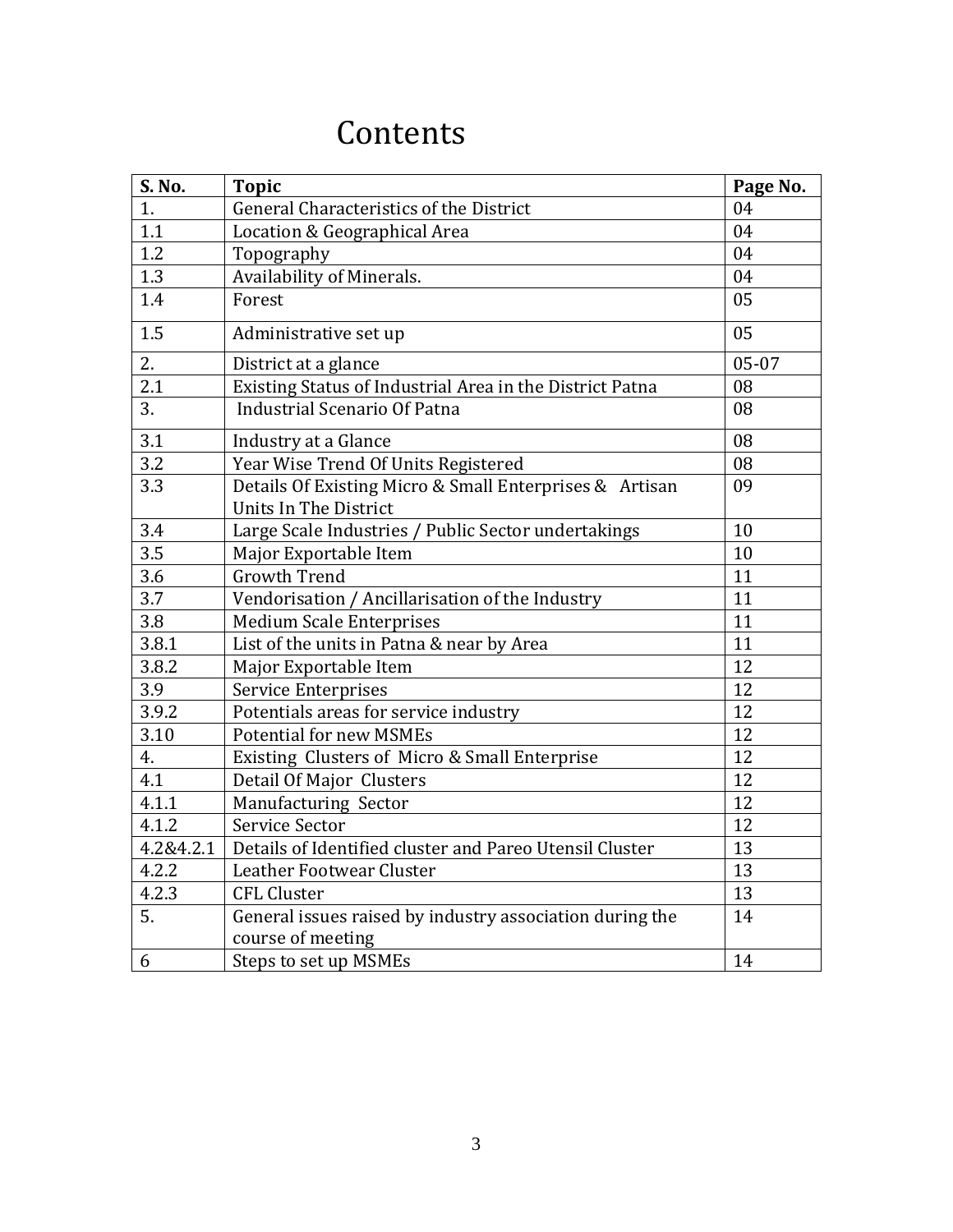### Contents

| S. No.           | <b>Topic</b>                                                                     | Page No. |
|------------------|----------------------------------------------------------------------------------|----------|
| 1.               | General Characteristics of the District                                          | 04       |
| 1.1              | Location & Geographical Area                                                     | 04       |
| 1.2              | Topography                                                                       | 04       |
| 1.3              | Availability of Minerals.                                                        | 04       |
| 1.4              | Forest                                                                           | 05       |
| 1.5              | Administrative set up                                                            | 05       |
| 2.               | District at a glance                                                             | 05-07    |
| $\overline{2.1}$ | Existing Status of Industrial Area in the District Patna                         | 08       |
| 3.               | <b>Industrial Scenario Of Patna</b>                                              | 08       |
| 3.1              | Industry at a Glance                                                             | 08       |
| 3.2              | Year Wise Trend Of Units Registered                                              | 08       |
| 3.3              | Details Of Existing Micro & Small Enterprises & Artisan<br>Units In The District | 09       |
| 3.4              | Large Scale Industries / Public Sector undertakings                              | 10       |
| 3.5              | Major Exportable Item                                                            | 10       |
| 3.6              | <b>Growth Trend</b>                                                              | 11       |
| 3.7              | Vendorisation / Ancillarisation of the Industry                                  | 11       |
| 3.8              | <b>Medium Scale Enterprises</b>                                                  | 11       |
| 3.8.1            | List of the units in Patna & near by Area                                        | 11       |
| 3.8.2            | Major Exportable Item                                                            | 12       |
| 3.9              | Service Enterprises                                                              | 12       |
| 3.9.2            | Potentials areas for service industry                                            | 12       |
| 3.10             | <b>Potential for new MSMEs</b>                                                   | 12       |
| 4.               | Existing Clusters of Micro & Small Enterprise                                    | 12       |
| 4.1              | Detail Of Major Clusters                                                         | 12       |
| 4.1.1            | Manufacturing Sector                                                             | 12       |
| 4.1.2            | Service Sector                                                                   | 12       |
| 4.2&4.2.1        | Details of Identified cluster and Pareo Utensil Cluster                          | 13       |
| 4.2.2            | Leather Footwear Cluster                                                         | 13       |
| 4.2.3            | <b>CFL Cluster</b>                                                               | 13       |
| 5.               | General issues raised by industry association during the                         | 14       |
|                  | course of meeting                                                                |          |
| 6                | Steps to set up MSMEs                                                            | 14       |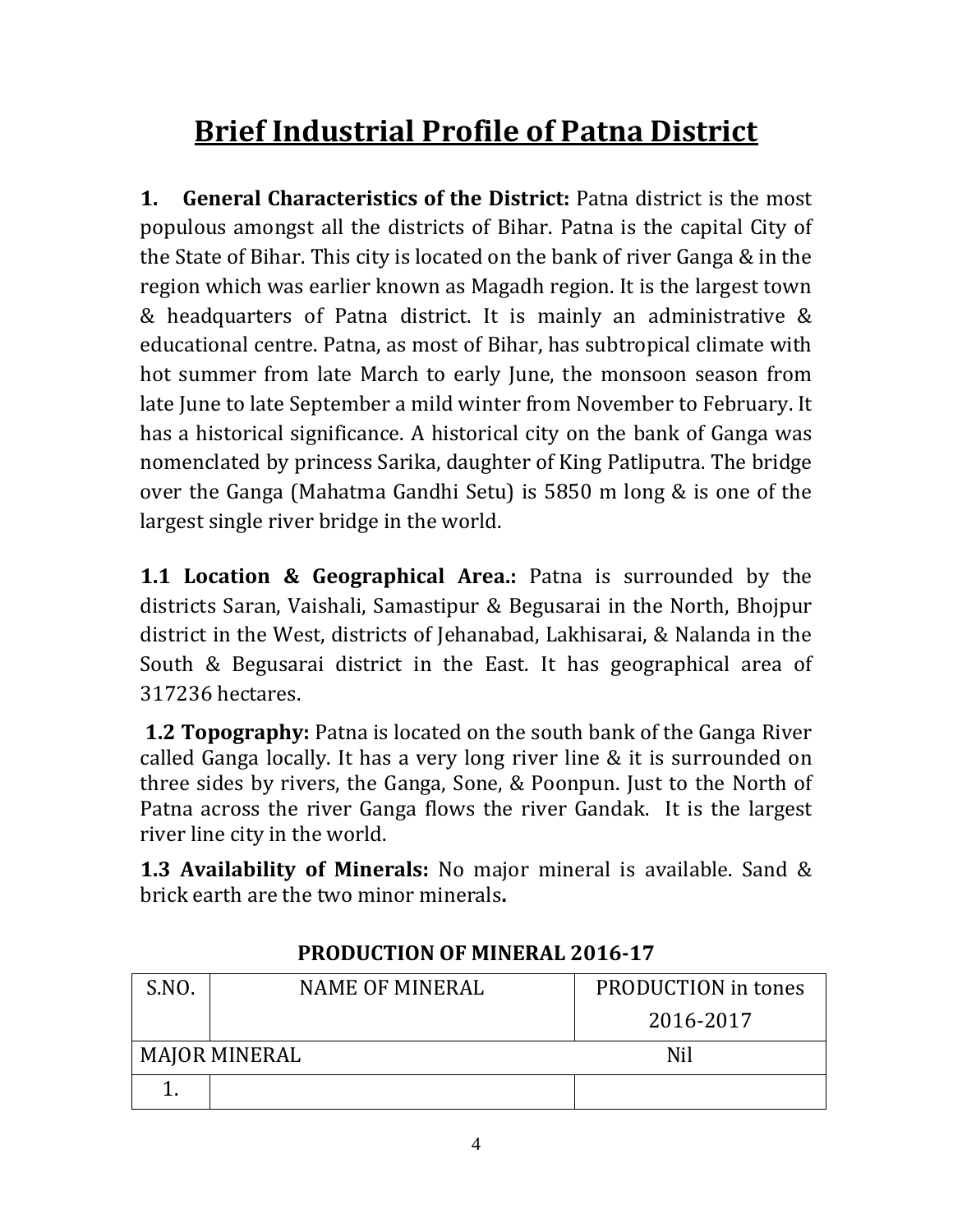# **Brief Industrial Profile of Patna District**

**1. General Characteristics of the District:** Patna district is the most populous amongst all the districts of Bihar. Patna is the capital City of the State of Bihar. This city is located on the bank of river Ganga & in the region which was earlier known as Magadh region. It is the largest town & headquarters of Patna district. It is mainly an administrative & educational centre. Patna, as most of Bihar, has subtropical climate with hot summer from late March to early June, the monsoon season from late June to late September a mild winter from November to February. It has a historical significance. A historical city on the bank of Ganga was nomenclated by princess Sarika, daughter of King Patliputra. The bridge over the Ganga (Mahatma Gandhi Setu) is 5850 m long & is one of the largest single river bridge in the world.

**1.1 Location & Geographical Area.:** Patna is surrounded by the districts Saran, Vaishali, Samastipur & Begusarai in the North, Bhojpur district in the West, districts of Jehanabad, Lakhisarai, & Nalanda in the South & Begusarai district in the East. It has geographical area of 317236 hectares.

**1.2 Topography:** Patna is located on the south bank of the Ganga River called Ganga locally. It has a very long river line & it is surrounded on three sides by rivers, the Ganga, Sone, & Poonpun. Just to the North of Patna across the river Ganga flows the river Gandak. It is the largest river line city in the world.

**1.3 Availability of Minerals:** No major mineral is available. Sand & brick earth are the two minor minerals**.**

| S.NO. | <b>NAME OF MINERAL</b> | <b>PRODUCTION</b> in tones |
|-------|------------------------|----------------------------|
|       |                        | 2016-2017                  |
|       | <b>MAJOR MINERAL</b>   | Nil                        |
|       |                        |                            |

#### **PRODUCTION OF MINERAL 2016-17**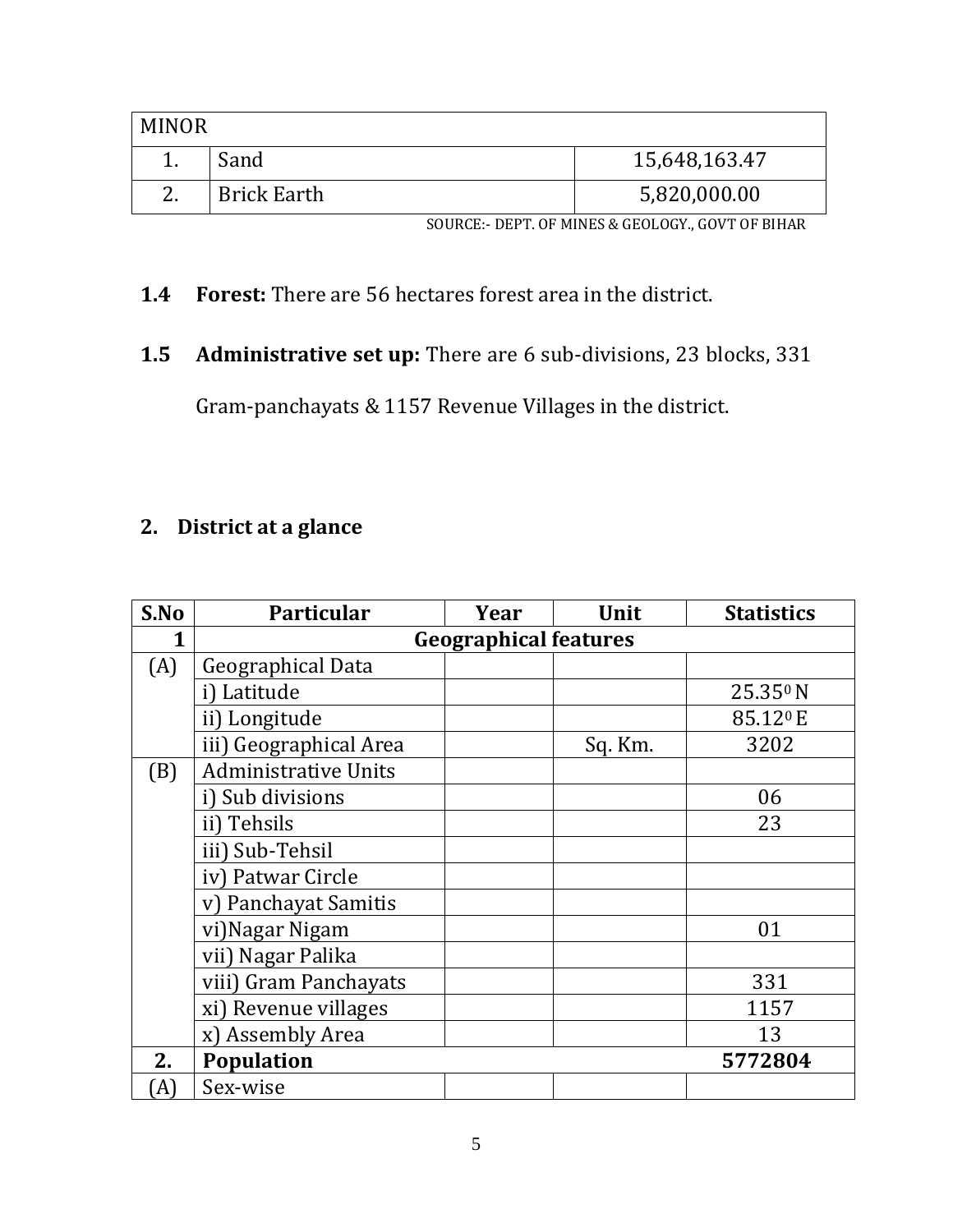| <b>MINOR</b> |                    |               |
|--------------|--------------------|---------------|
|              | Sand               | 15,648,163.47 |
| 2.           | <b>Brick Earth</b> | 5,820,000.00  |

SOURCE:- DEPT. OF MINES & GEOLOGY., GOVT OF BIHAR

- **1.4 Forest:** There are 56 hectares forest area in the district.
- **1.5 Administrative set up:** There are 6 sub-divisions, 23 blocks, 331

Gram-panchayats & 1157 Revenue Villages in the district.

#### **2. District at a glance**

| S.No | Particular                   | Year | Unit    | <b>Statistics</b>    |  |  |  |
|------|------------------------------|------|---------|----------------------|--|--|--|
| 1    | <b>Geographical features</b> |      |         |                      |  |  |  |
| (A)  | Geographical Data            |      |         |                      |  |  |  |
|      | i) Latitude                  |      |         | 25.350 N             |  |  |  |
|      | ii) Longitude                |      |         | 85.12 <sup>0</sup> E |  |  |  |
|      | iii) Geographical Area       |      | Sq. Km. | 3202                 |  |  |  |
| (B)  | <b>Administrative Units</b>  |      |         |                      |  |  |  |
|      | i) Sub divisions             |      |         | 06                   |  |  |  |
|      | ii) Tehsils                  |      |         | 23                   |  |  |  |
|      | iii) Sub-Tehsil              |      |         |                      |  |  |  |
|      | iv) Patwar Circle            |      |         |                      |  |  |  |
|      | v) Panchayat Samitis         |      |         |                      |  |  |  |
|      | vi) Nagar Nigam              |      |         | 01                   |  |  |  |
|      | vii) Nagar Palika            |      |         |                      |  |  |  |
|      | viii) Gram Panchayats        |      |         | 331                  |  |  |  |
|      | xi) Revenue villages         |      |         | 1157                 |  |  |  |
|      | x) Assembly Area             |      |         | 13                   |  |  |  |
| 2.   | <b>Population</b>            |      |         | 5772804              |  |  |  |
| A)   | Sex-wise                     |      |         |                      |  |  |  |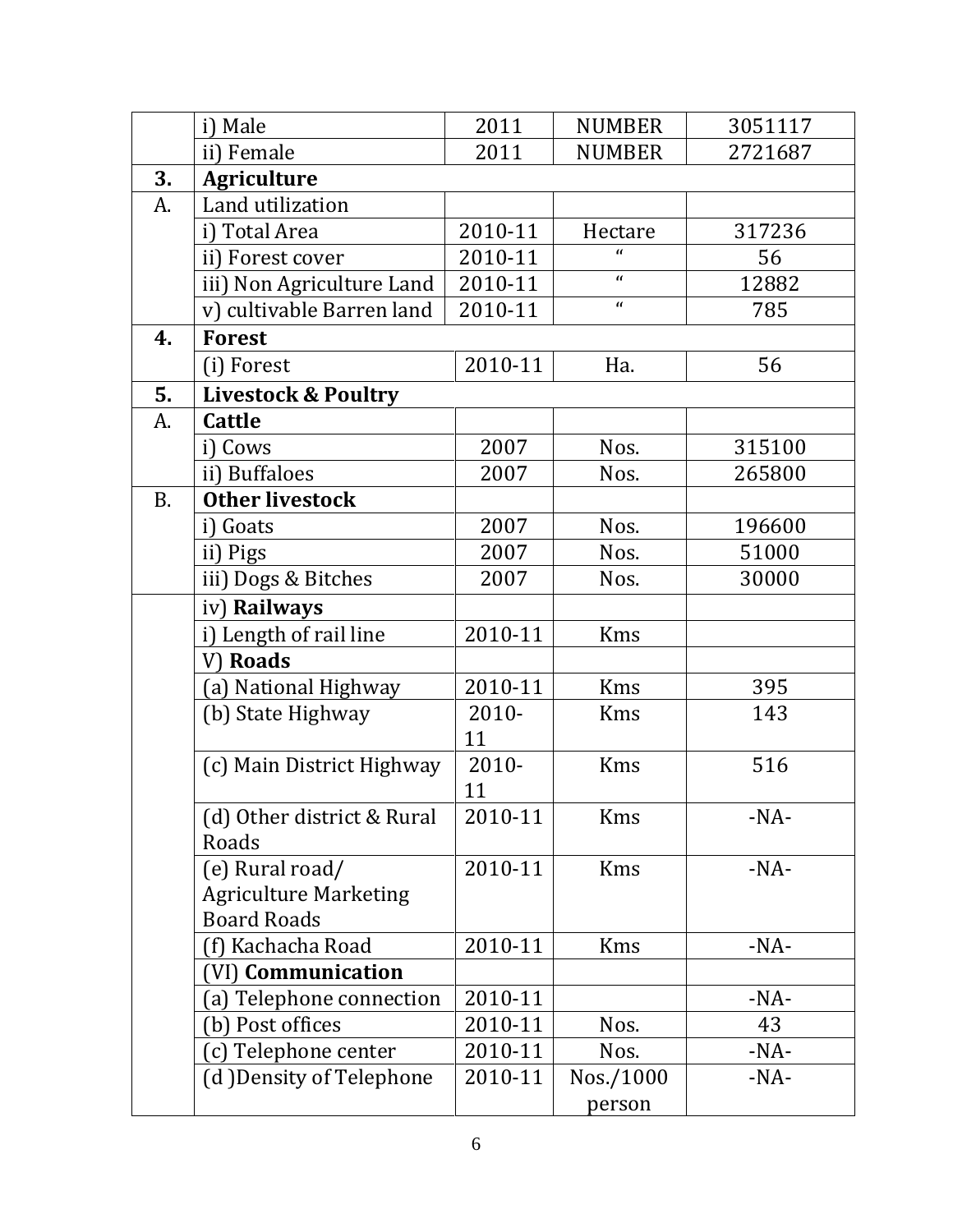|           | i) Male                        | 2011     | <b>NUMBER</b> | 3051117 |
|-----------|--------------------------------|----------|---------------|---------|
|           | ii) Female                     | 2011     | <b>NUMBER</b> | 2721687 |
| 3.        | <b>Agriculture</b>             |          |               |         |
| A.        | Land utilization               |          |               |         |
|           | i) Total Area                  | 2010-11  | Hectare       | 317236  |
|           | ii) Forest cover               | 2010-11  | $\mathbf{u}$  | 56      |
|           | iii) Non Agriculture Land      | 2010-11  | $\mathbf{r}$  | 12882   |
|           | v) cultivable Barren land      | 2010-11  | $\mathbf{r}$  | 785     |
| 4.        | <b>Forest</b>                  |          |               |         |
|           | (i) Forest                     | 2010-11  | Ha.           | 56      |
| 5.        | <b>Livestock &amp; Poultry</b> |          |               |         |
| A.        | <b>Cattle</b>                  |          |               |         |
|           | i) Cows                        | 2007     | Nos.          | 315100  |
|           | ii) Buffaloes                  | 2007     | Nos.          | 265800  |
| <b>B.</b> | <b>Other livestock</b>         |          |               |         |
|           | i) Goats                       | 2007     | Nos.          | 196600  |
|           | ii) Pigs                       | 2007     | Nos.          | 51000   |
|           | iii) Dogs & Bitches            | 2007     | Nos.          | 30000   |
|           | iv) Railways                   |          |               |         |
|           | i) Length of rail line         | 2010-11  | <b>Kms</b>    |         |
|           | V) Roads                       |          |               |         |
|           | (a) National Highway           | 2010-11  | Kms           | 395     |
|           | (b) State Highway              | $2010 -$ | <b>Kms</b>    | 143     |
|           |                                | 11       |               |         |
|           | (c) Main District Highway      | 2010-    | Kms           | 516     |
|           |                                | 11       |               |         |
|           | (d) Other district & Rural     | 2010-11  | Kms           | $-NA-$  |
|           | Roads                          |          |               |         |
|           | (e) Rural road/                | 2010-11  | <b>Kms</b>    | $-NA-$  |
|           | <b>Agriculture Marketing</b>   |          |               |         |
|           | <b>Board Roads</b>             |          |               |         |
|           | (f) Kachacha Road              | 2010-11  | <b>Kms</b>    | $-NA-$  |
|           | (VI) Communication             |          |               |         |
|           | (a) Telephone connection       | 2010-11  |               | $-NA-$  |
|           | (b) Post offices               | 2010-11  | Nos.          | 43      |
|           | (c) Telephone center           | 2010-11  | Nos.          | $-NA-$  |
|           | (d) Density of Telephone       | 2010-11  | Nos./1000     | $-NA-$  |
|           |                                |          | person        |         |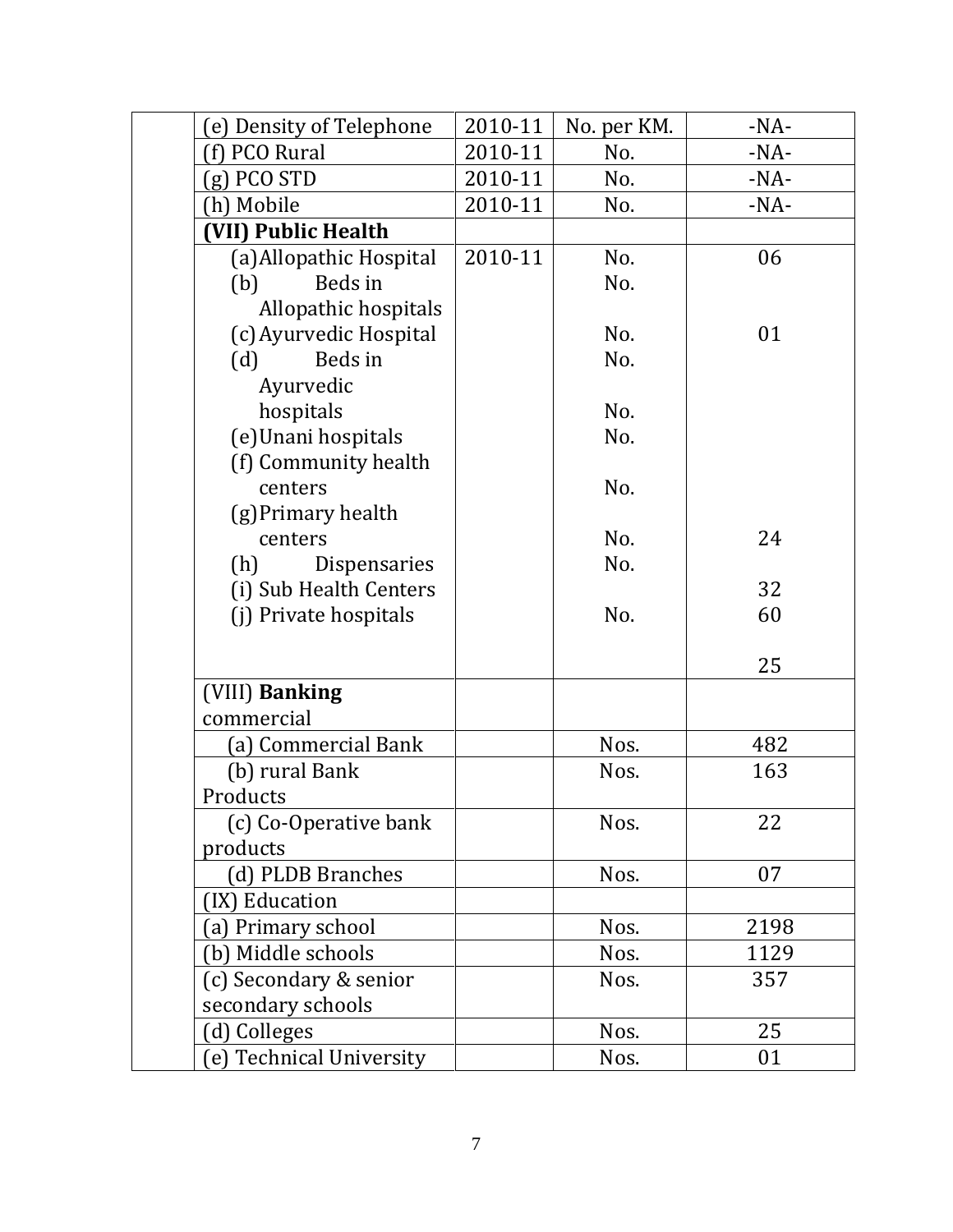| (e) Density of Telephone | 2010-11 | No. per KM. | $-NA-$ |
|--------------------------|---------|-------------|--------|
| f) PCO Rural             | 2010-11 | No.         | $-NA-$ |
| $(g)$ PCO STD            | 2010-11 | No.         | $-NA-$ |
| (h) Mobile               | 2010-11 | No.         | $-NA-$ |
| (VII) Public Health      |         |             |        |
| (a) Allopathic Hospital  | 2010-11 | No.         | 06     |
| Beds in<br>(b)           |         | No.         |        |
| Allopathic hospitals     |         |             |        |
| (c) Ayurvedic Hospital   |         | No.         | 01     |
| Beds in<br>(d)           |         | No.         |        |
| Ayurvedic                |         |             |        |
| hospitals                |         | No.         |        |
| (e)Unani hospitals       |         | No.         |        |
| (f) Community health     |         |             |        |
| centers                  |         | No.         |        |
| (g) Primary health       |         |             |        |
| centers                  |         | No.         | 24     |
| Dispensaries<br>(h)      |         | No.         |        |
| (i) Sub Health Centers   |         |             | 32     |
| (j) Private hospitals    |         | No.         | 60     |
|                          |         |             |        |
|                          |         |             | 25     |
| (VIII) Banking           |         |             |        |
| commercial               |         |             |        |
| (a) Commercial Bank      |         | Nos.        | 482    |
| (b) rural Bank           |         | Nos.        | 163    |
| Products                 |         |             |        |
| (c) Co-Operative bank    |         | Nos.        | 22     |
| products                 |         |             |        |
| (d) PLDB Branches        |         | Nos.        | 07     |
| (IX) Education           |         |             |        |
| (a) Primary school       |         | Nos.        | 2198   |
| (b) Middle schools       |         | Nos.        | 1129   |
| (c) Secondary & senior   |         | Nos.        | 357    |
| secondary schools        |         |             |        |
| (d) Colleges             |         | Nos.        | 25     |
| (e) Technical University |         | Nos.        | 01     |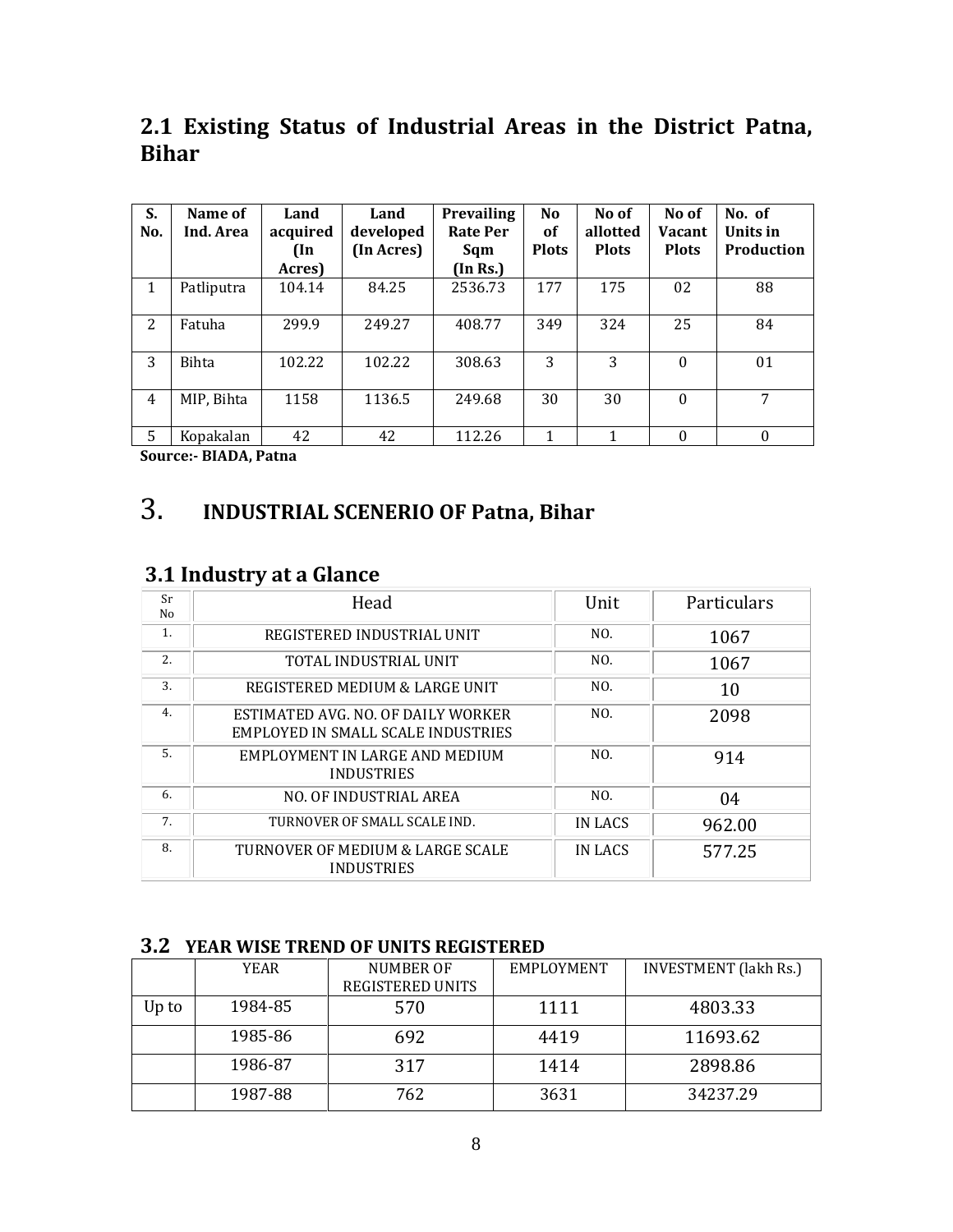#### **2.1 Existing Status of Industrial Areas in the District Patna, Bihar**

| S.<br>No.      | Name of<br>Ind. Area | Land<br>acquired<br>$(\ln$ | Land<br>developed<br>(In Acres) | <b>Prevailing</b><br><b>Rate Per</b><br>Sqm | N <sub>o</sub><br>of<br><b>Plots</b> | No of<br>allotted<br><b>Plots</b> | No of<br><b>Vacant</b><br><b>Plots</b> | No. of<br>Units in<br><b>Production</b> |
|----------------|----------------------|----------------------------|---------------------------------|---------------------------------------------|--------------------------------------|-----------------------------------|----------------------------------------|-----------------------------------------|
|                |                      | Acres)                     |                                 | (In Rs.)                                    |                                      |                                   |                                        |                                         |
| 1              | Patliputra           | 104.14                     | 84.25                           | 2536.73                                     | 177                                  | 175                               | 02                                     | 88                                      |
| 2              | Fatuha               | 299.9                      | 249.27                          | 408.77                                      | 349                                  | 324                               | 25                                     | 84                                      |
| 3              | <b>Bihta</b>         | 102.22                     | 102.22                          | 308.63                                      | 3                                    | 3                                 | $\Omega$                               | 01                                      |
| $\overline{4}$ | MIP, Bihta           | 1158                       | 1136.5                          | 249.68                                      | 30                                   | 30                                | $\Omega$                               | 7                                       |
| 5              | Kopakalan            | 42                         | 42                              | 112.26                                      |                                      |                                   | $\theta$                               |                                         |

**Source:- BIADA, Patna**

### 3. **INDUSTRIAL SCENERIO OF Patna, Bihar**

#### **3.1 Industry at a Glance**

| Sr<br>No | Head                                                                     | Unit           | Particulars |
|----------|--------------------------------------------------------------------------|----------------|-------------|
| 1.       | REGISTERED INDUSTRIAL UNIT                                               | NO.            | 1067        |
| 2.       | TOTAL INDUSTRIAL UNIT                                                    | NO.            | 1067        |
| 3.       | REGISTERED MEDIUM & LARGE UNIT                                           | NO.            | 10          |
| 4.       | ESTIMATED AVG. NO. OF DAILY WORKER<br>EMPLOYED IN SMALL SCALE INDUSTRIES | N <sub>O</sub> | 2098        |
| 5.       | EMPLOYMENT IN LARGE AND MEDIUM<br><b>INDUSTRIES</b>                      | NO.            | 914         |
| 6.       | NO. OF INDUSTRIAL AREA                                                   | NO.            | 04          |
| 7.       | TURNOVER OF SMALL SCALE IND.                                             | IN LACS        | 962.00      |
| 8.       | TURNOVER OF MEDIUM & LARGE SCALE<br><b>INDUSTRIES</b>                    | IN LACS        | 577.25      |

#### **3.2 YEAR WISE TREND OF UNITS REGISTERED**

|       | <b>YEAR</b> | NUMBER OF<br>REGISTERED UNITS | EMPLOYMENT | <b>INVESTMENT</b> (lakh Rs.) |
|-------|-------------|-------------------------------|------------|------------------------------|
| Up to | 1984-85     | 570                           | 1111       | 4803.33                      |
|       | 1985-86     | 692                           | 4419       | 11693.62                     |
|       | 1986-87     | 317                           | 1414       | 2898.86                      |
|       | 1987-88     | 762                           | 3631       | 34237.29                     |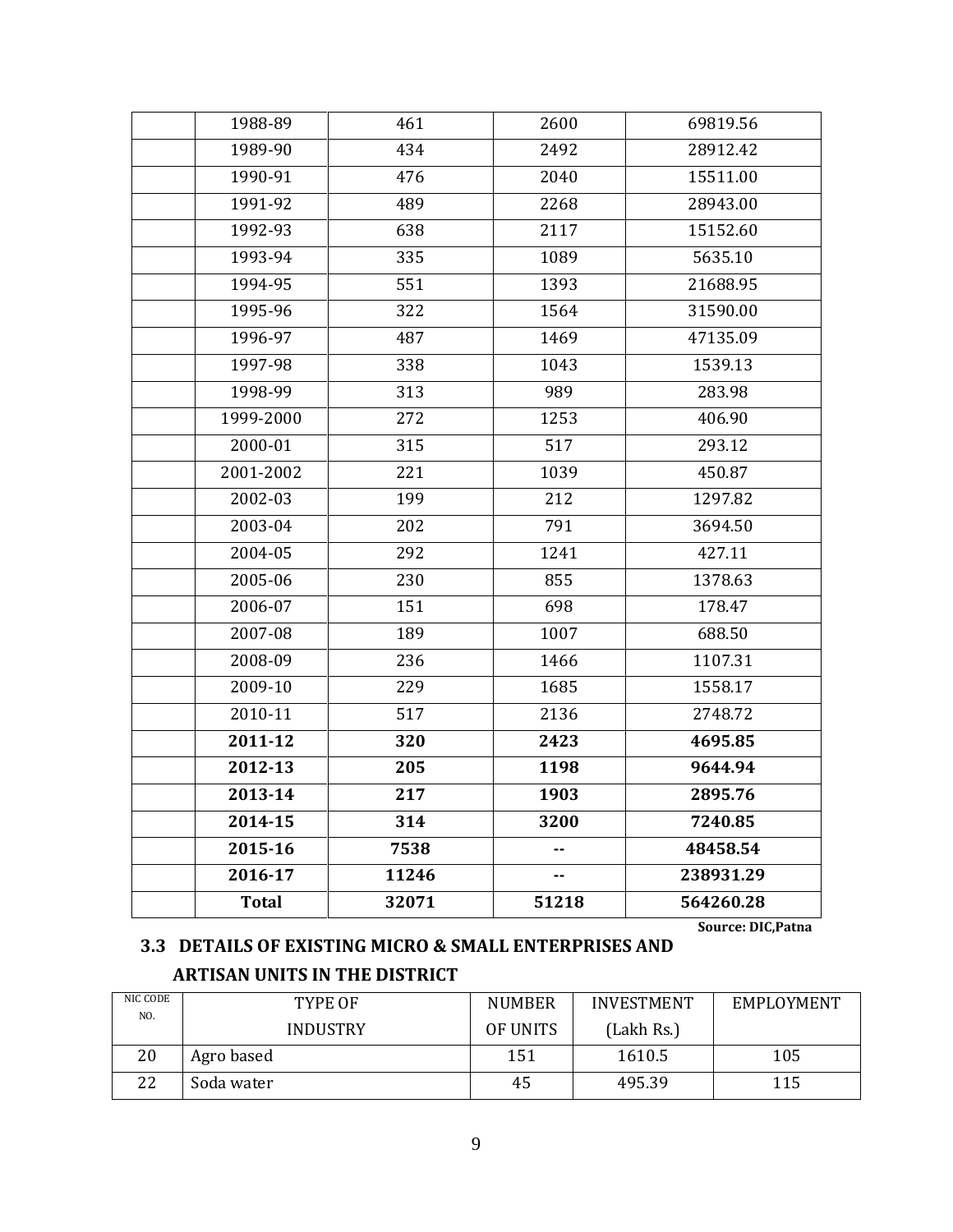| 1988-89      | 461   | 2600  | 69819.56  |
|--------------|-------|-------|-----------|
| 1989-90      | 434   | 2492  | 28912.42  |
| 1990-91      | 476   | 2040  | 15511.00  |
| 1991-92      | 489   | 2268  | 28943.00  |
| 1992-93      | 638   | 2117  | 15152.60  |
| 1993-94      | 335   | 1089  | 5635.10   |
| 1994-95      | 551   | 1393  | 21688.95  |
| 1995-96      | 322   | 1564  | 31590.00  |
| 1996-97      | 487   | 1469  | 47135.09  |
| 1997-98      | 338   | 1043  | 1539.13   |
| 1998-99      | 313   | 989   | 283.98    |
| 1999-2000    | 272   | 1253  | 406.90    |
| 2000-01      | 315   | 517   | 293.12    |
| 2001-2002    | 221   | 1039  | 450.87    |
| 2002-03      | 199   | 212   | 1297.82   |
| 2003-04      | 202   | 791   | 3694.50   |
| 2004-05      | 292   | 1241  | 427.11    |
| 2005-06      | 230   | 855   | 1378.63   |
| 2006-07      | 151   | 698   | 178.47    |
| 2007-08      | 189   | 1007  | 688.50    |
| 2008-09      | 236   | 1466  | 1107.31   |
| 2009-10      | 229   | 1685  | 1558.17   |
| 2010-11      | 517   | 2136  | 2748.72   |
| 2011-12      | 320   | 2423  | 4695.85   |
| 2012-13      | 205   | 1198  | 9644.94   |
| 2013-14      | 217   | 1903  | 2895.76   |
| 2014-15      | 314   | 3200  | 7240.85   |
| 2015-16      | 7538  | ۰.    | 48458.54  |
| 2016-17      | 11246 | ۰.    | 238931.29 |
| <b>Total</b> | 32071 | 51218 | 564260.28 |

**Source: DIC,Patna**

#### **3.3 DETAILS OF EXISTING MICRO & SMALL ENTERPRISES AND ARTISAN UNITS IN THE DISTRICT**

| NIC CODE | TYPE OF         | <b>NUMBER</b> | <b>INVESTMENT</b> | EMPLOYMENT |
|----------|-----------------|---------------|-------------------|------------|
| NO.      | <b>INDUSTRY</b> | OF UNITS      | (Lakh Rs.)        |            |
| 20       | Agro based      | 151           | 1610.5            | 105        |
| 22       | Soda water      | 45            | 495.39            | 115        |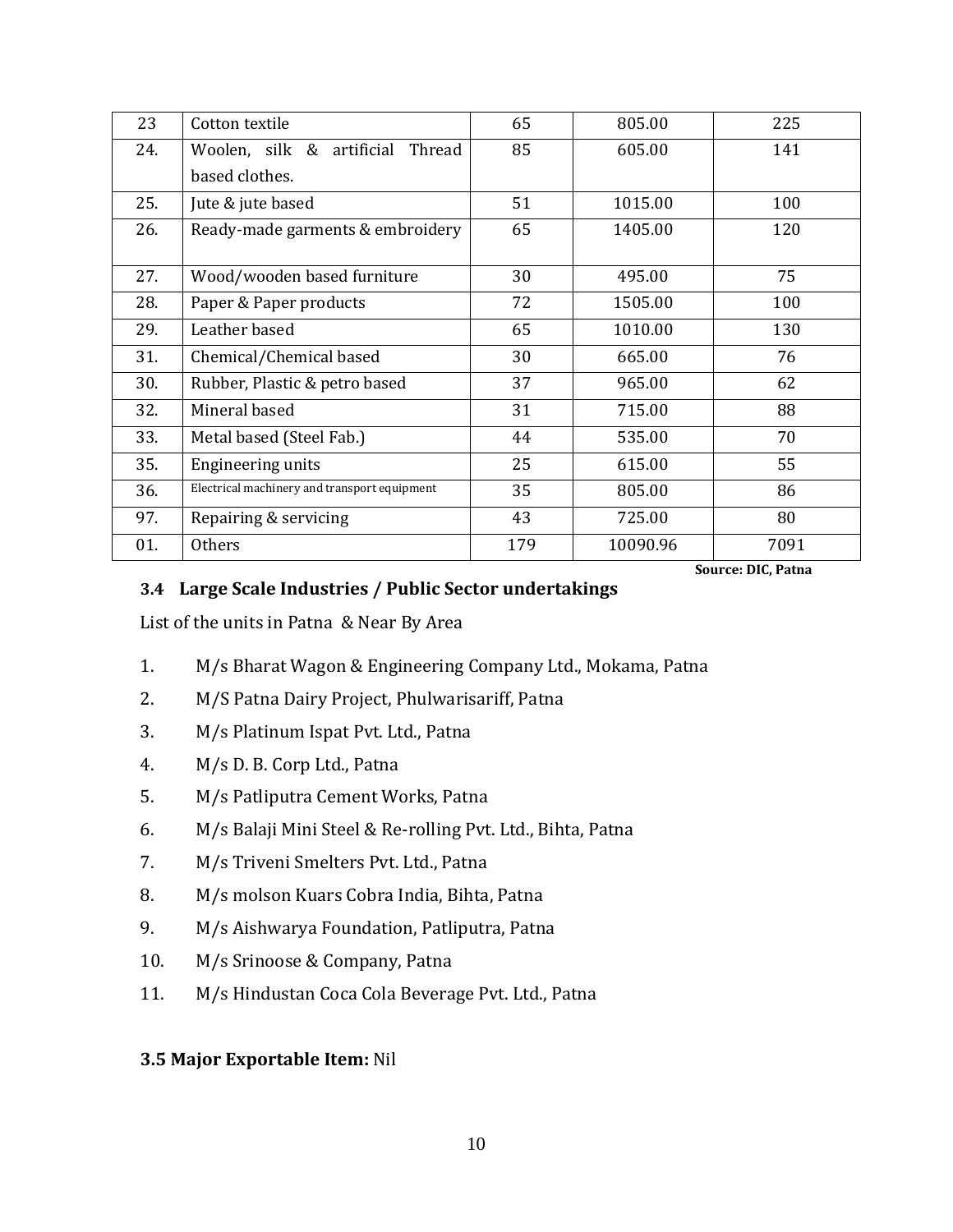| 23  | Cotton textile                               | 65  | 805.00   | 225  |
|-----|----------------------------------------------|-----|----------|------|
| 24. | Woolen, silk & artificial Thread             | 85  | 605.00   | 141  |
|     | based clothes.                               |     |          |      |
| 25. | Jute & jute based                            | 51  | 1015.00  | 100  |
| 26. | Ready-made garments & embroidery             | 65  | 1405.00  | 120  |
|     |                                              |     |          |      |
| 27. | Wood/wooden based furniture                  | 30  | 495.00   | 75   |
| 28. | Paper & Paper products                       | 72  | 1505.00  | 100  |
| 29. | Leather based                                | 65  | 1010.00  | 130  |
| 31. | Chemical/Chemical based                      | 30  | 665.00   | 76   |
| 30. | Rubber, Plastic & petro based                | 37  | 965.00   | 62   |
| 32. | Mineral based                                | 31  | 715.00   | 88   |
| 33. | Metal based (Steel Fab.)                     | 44  | 535.00   | 70   |
| 35. | Engineering units                            | 25  | 615.00   | 55   |
| 36. | Electrical machinery and transport equipment | 35  | 805.00   | 86   |
| 97. | Repairing & servicing                        | 43  | 725.00   | 80   |
| 01. | <b>Others</b>                                | 179 | 10090.96 | 7091 |

**Source: DIC, Patna**

#### **3.4 Large Scale Industries / Public Sector undertakings**

List of the units in Patna & Near By Area

- 1. M/s Bharat Wagon & Engineering Company Ltd., Mokama, Patna
- 2. M/S Patna Dairy Project, Phulwarisariff, Patna
- 3. M/s Platinum Ispat Pvt. Ltd., Patna
- 4. M/s D. B. Corp Ltd., Patna
- 5. M/s Patliputra Cement Works, Patna
- 6. M/s Balaji Mini Steel & Re-rolling Pvt. Ltd., Bihta, Patna
- 7. M/s Triveni Smelters Pvt. Ltd., Patna
- 8. M/s molson Kuars Cobra India, Bihta, Patna
- 9. M/s Aishwarya Foundation, Patliputra, Patna
- 10. M/s Srinoose & Company, Patna
- 11. M/s Hindustan Coca Cola Beverage Pvt. Ltd., Patna

#### **3.5 Major Exportable Item:** Nil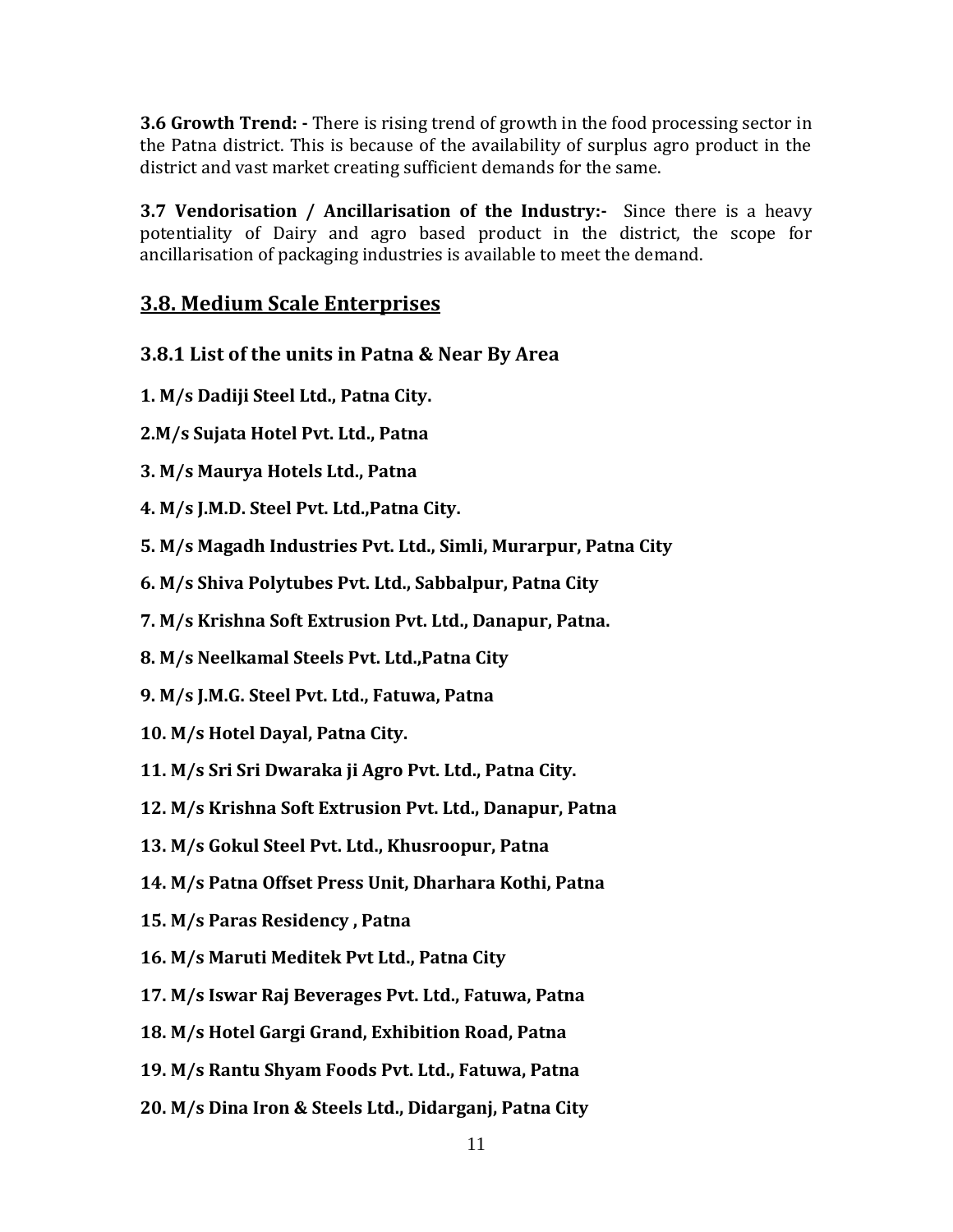**3.6 Growth Trend: -** There is rising trend of growth in the food processing sector in the Patna district. This is because of the availability of surplus agro product in the district and vast market creating sufficient demands for the same.

**3.7 Vendorisation / Ancillarisation of the Industry:-** Since there is a heavy potentiality of Dairy and agro based product in the district, the scope for ancillarisation of packaging industries is available to meet the demand.

#### **3.8. Medium Scale Enterprises**

- **3.8.1 List of the units in Patna & Near By Area**
- **1. M/s Dadiji Steel Ltd., Patna City.**
- **2.M/s Sujata Hotel Pvt. Ltd., Patna**
- **3. M/s Maurya Hotels Ltd., Patna**
- **4. M/s J.M.D. Steel Pvt. Ltd.,Patna City.**
- **5. M/s Magadh Industries Pvt. Ltd., Simli, Murarpur, Patna City**
- **6. M/s Shiva Polytubes Pvt. Ltd., Sabbalpur, Patna City**
- **7. M/s Krishna Soft Extrusion Pvt. Ltd., Danapur, Patna.**
- **8. M/s Neelkamal Steels Pvt. Ltd.,Patna City**
- **9. M/s J.M.G. Steel Pvt. Ltd., Fatuwa, Patna**
- **10. M/s Hotel Dayal, Patna City.**
- **11. M/s Sri Sri Dwaraka ji Agro Pvt. Ltd., Patna City.**
- **12. M/s Krishna Soft Extrusion Pvt. Ltd., Danapur, Patna**
- **13. M/s Gokul Steel Pvt. Ltd., Khusroopur, Patna**
- **14. M/s Patna Offset Press Unit, Dharhara Kothi, Patna**
- **15. M/s Paras Residency , Patna**
- **16. M/s Maruti Meditek Pvt Ltd., Patna City**
- **17. M/s Iswar Raj Beverages Pvt. Ltd., Fatuwa, Patna**
- **18. M/s Hotel Gargi Grand, Exhibition Road, Patna**
- **19. M/s Rantu Shyam Foods Pvt. Ltd., Fatuwa, Patna**
- **20. M/s Dina Iron & Steels Ltd., Didarganj, Patna City**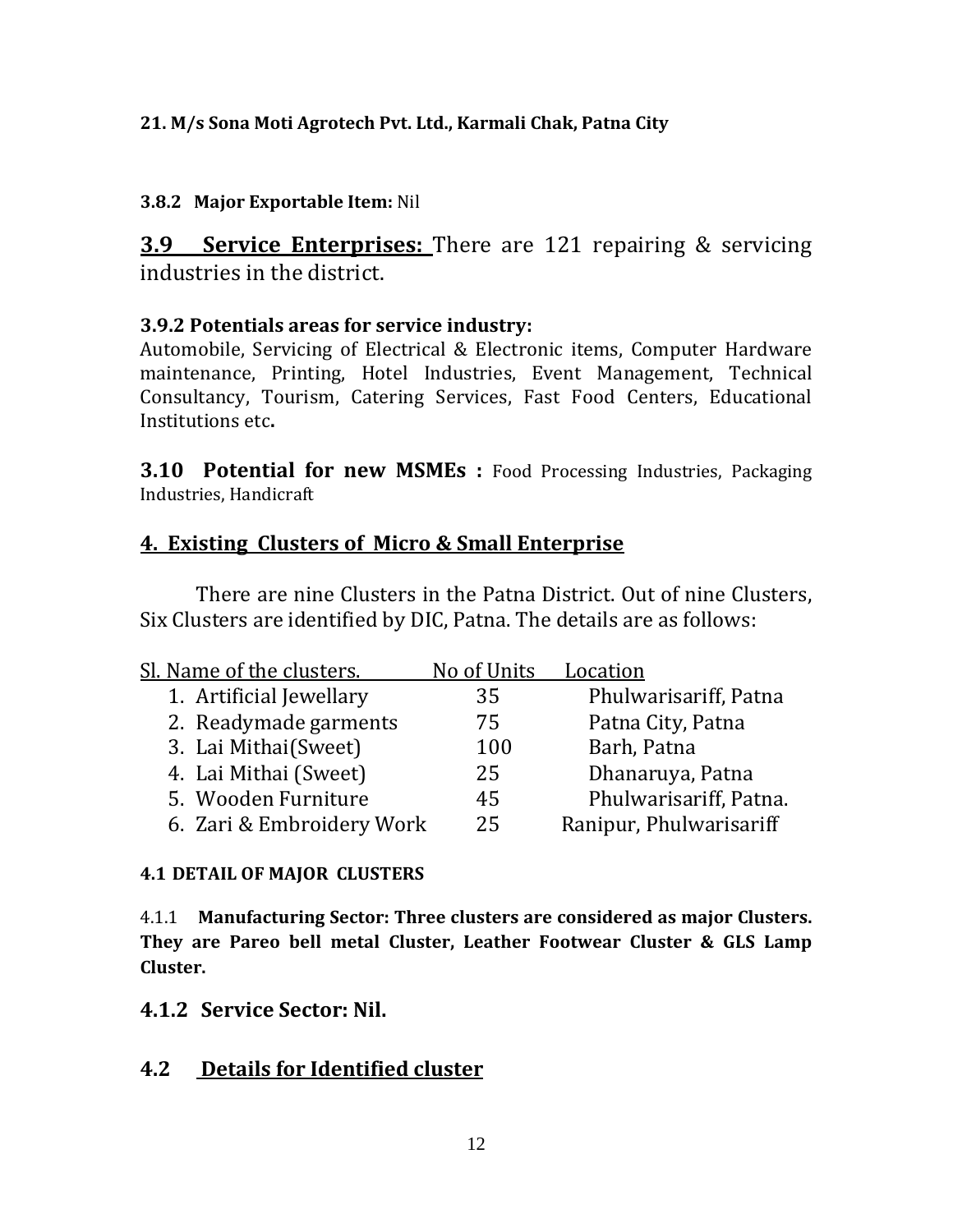#### **21. M/s Sona Moti Agrotech Pvt. Ltd., Karmali Chak, Patna City**

#### **3.8.2 Major Exportable Item:** Nil

**3.9 Service Enterprises:** There are 121 repairing & servicing industries in the district.

#### **3.9.2 Potentials areas for service industry:**

Automobile, Servicing of Electrical & Electronic items, Computer Hardware maintenance, Printing, Hotel Industries, Event Management, Technical Consultancy, Tourism, Catering Services, Fast Food Centers, Educational Institutions etc**.**

**3.10 Potential for new MSMEs :** Food Processing Industries, Packaging Industries, Handicraft

#### **4. Existing Clusters of Micro & Small Enterprise**

There are nine Clusters in the Patna District. Out of nine Clusters, Six Clusters are identified by DIC, Patna. The details are as follows:

| Sl. Name of the clusters. | No of Units | Location                |
|---------------------------|-------------|-------------------------|
| 1. Artificial Jewellary   | 35          | Phulwarisariff, Patna   |
| 2. Readymade garments     | 75          | Patna City, Patna       |
| 3. Lai Mithai(Sweet)      | 100         | Barh, Patna             |
| 4. Lai Mithai (Sweet)     | 25          | Dhanaruya, Patna        |
| 5. Wooden Furniture       | 45          | Phulwarisariff, Patna.  |
| 6. Zari & Embroidery Work | 25          | Ranipur, Phulwarisariff |

#### **4.1 DETAIL OF MAJOR CLUSTERS**

4.1.1 **Manufacturing Sector: Three clusters are considered as major Clusters. They are Pareo bell metal Cluster, Leather Footwear Cluster & GLS Lamp Cluster.**

#### **4.1.2 Service Sector: Nil.**

#### **4.2 Details for Identified cluster**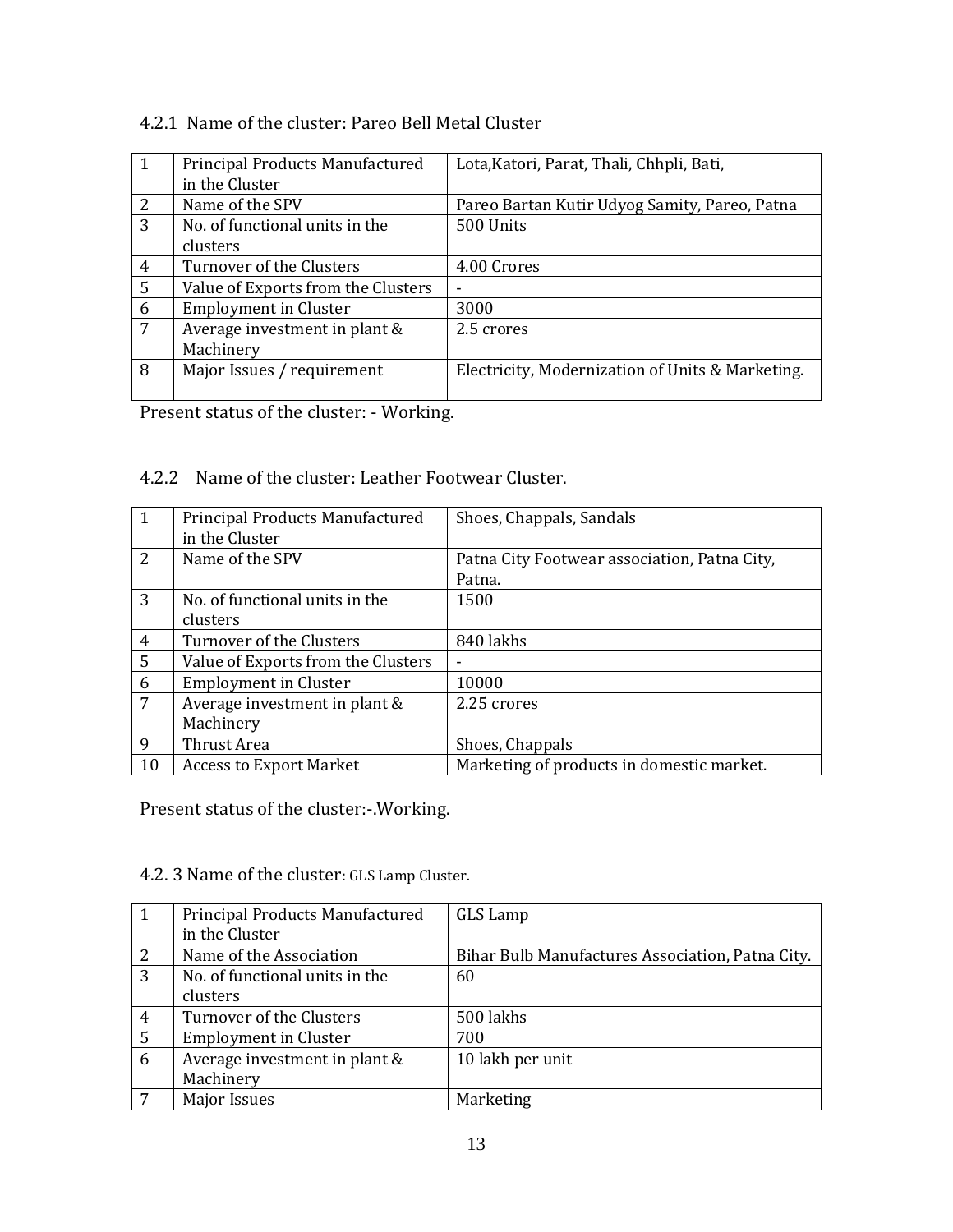#### 4.2.1 Name of the cluster: Pareo Bell Metal Cluster

| $\mathbf{1}$   | Principal Products Manufactured<br>in the Cluster | Lota, Katori, Parat, Thali, Chhpli, Bati,        |
|----------------|---------------------------------------------------|--------------------------------------------------|
| 2              | Name of the SPV                                   | Pareo Bartan Kutir Udyog Samity, Pareo, Patna    |
| 3              | No. of functional units in the                    | 500 Units                                        |
|                | clusters                                          |                                                  |
| $\overline{4}$ | Turnover of the Clusters                          | 4.00 Crores                                      |
| 5              | Value of Exports from the Clusters                | -                                                |
| 6              | <b>Employment in Cluster</b>                      | 3000                                             |
| 7              | Average investment in plant &                     | 2.5 crores                                       |
|                | Machinery                                         |                                                  |
| 8              | Major Issues / requirement                        | Electricity, Modernization of Units & Marketing. |
|                |                                                   |                                                  |

Present status of the cluster: - Working.

#### 4.2.2 Name of the cluster: Leather Footwear Cluster.

| $\mathbf{1}$ | Principal Products Manufactured<br>in the Cluster | Shoes, Chappals, Sandals                     |
|--------------|---------------------------------------------------|----------------------------------------------|
| 2            | Name of the SPV                                   | Patna City Footwear association, Patna City, |
|              |                                                   | Patna.                                       |
| 3            | No. of functional units in the                    | 1500                                         |
|              | clusters                                          |                                              |
| 4            | Turnover of the Clusters                          | 840 lakhs                                    |
| 5            | Value of Exports from the Clusters                | $\blacksquare$                               |
| 6            | <b>Employment in Cluster</b>                      | 10000                                        |
| 7            | Average investment in plant &                     | 2.25 crores                                  |
|              | Machinery                                         |                                              |
| 9            | Thrust Area                                       | Shoes, Chappals                              |
| 10           | <b>Access to Export Market</b>                    | Marketing of products in domestic market.    |

Present status of the cluster:-.Working.

#### 4.2. 3 Name of the cluster: GLS Lamp Cluster.

|                | Principal Products Manufactured | GLS Lamp                                         |
|----------------|---------------------------------|--------------------------------------------------|
|                | in the Cluster                  |                                                  |
| 2              | Name of the Association         | Bihar Bulb Manufactures Association, Patna City. |
| 3              | No. of functional units in the  | 60                                               |
|                | clusters                        |                                                  |
| $\overline{4}$ | Turnover of the Clusters        | 500 lakhs                                        |
| 5              | <b>Employment in Cluster</b>    | 700                                              |
| 6              | Average investment in plant &   | 10 lakh per unit                                 |
|                | Machinery                       |                                                  |
|                | <b>Major Issues</b>             | Marketing                                        |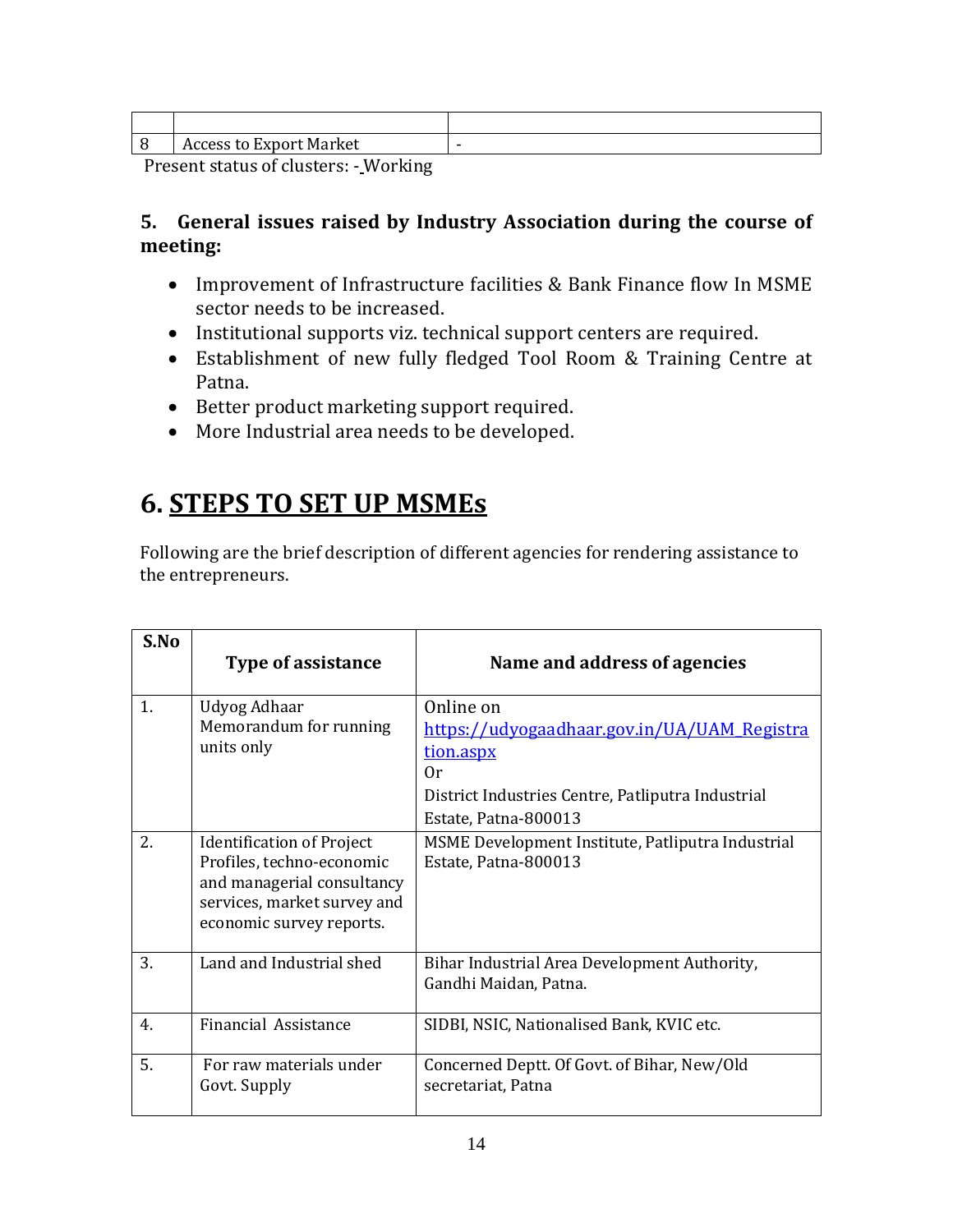|                          | <b>Access to Export Market</b> | - |
|--------------------------|--------------------------------|---|
| $\overline{\phantom{0}}$ | $  -$<br>$\sim$                |   |

Present status of clusters: - Working

#### **5. General issues raised by Industry Association during the course of meeting:**

- Improvement of Infrastructure facilities & Bank Finance flow In MSME sector needs to be increased.
- Institutional supports viz. technical support centers are required.
- Establishment of new fully fledged Tool Room & Training Centre at Patna.
- Better product marketing support required.
- More Industrial area needs to be developed.

### **6. STEPS TO SET UP MSMEs**

Following are the brief description of different agencies for rendering assistance to the entrepreneurs.

| S.No           | Type of assistance                                                                                                                                     | Name and address of agencies                                                                                                                                    |
|----------------|--------------------------------------------------------------------------------------------------------------------------------------------------------|-----------------------------------------------------------------------------------------------------------------------------------------------------------------|
| 1.             | Udyog Adhaar<br>Memorandum for running<br>units only                                                                                                   | Online on<br><u>https://udyogaadhaar.gov.in/UA/UAM_Registra</u><br>tion.aspx<br>0r<br>District Industries Centre, Patliputra Industrial<br>Estate, Patna-800013 |
| 2.             | <b>Identification of Project</b><br>Profiles, techno-economic<br>and managerial consultancy<br>services, market survey and<br>economic survey reports. | MSME Development Institute, Patliputra Industrial<br>Estate, Patna-800013                                                                                       |
| 3.             | Land and Industrial shed                                                                                                                               | Bihar Industrial Area Development Authority,<br>Gandhi Maidan, Patna.                                                                                           |
| 4 <sub>1</sub> | <b>Financial Assistance</b>                                                                                                                            | SIDBI, NSIC, Nationalised Bank, KVIC etc.                                                                                                                       |
| 5.             | For raw materials under<br>Govt. Supply                                                                                                                | Concerned Deptt. Of Govt. of Bihar, New/Old<br>secretariat, Patna                                                                                               |